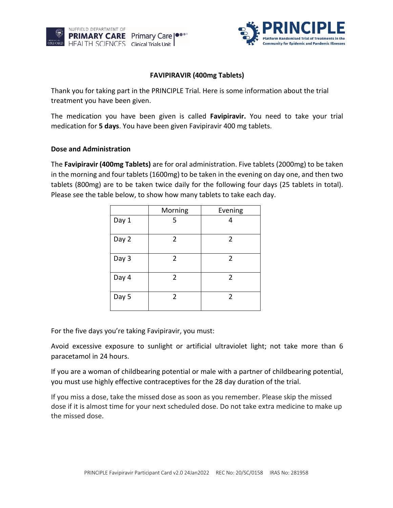



## **FAVIPIRAVIR (400mg Tablets)**

Thank you for taking part in the PRINCIPLE Trial. Here is some information about the trial treatment you have been given.

The medication you have been given is called **Favipiravir.** You need to take your trial medication for **5 days**. You have been given Favipiravir 400 mg tablets.

#### **Dose and Administration**

The **Favipiravir (400mg Tablets)** are for oral administration. Five tablets (2000mg) to be taken in the morning and four tablets (1600mg) to be taken in the evening on day one, and then two tablets (800mg) are to be taken twice daily for the following four days (25 tablets in total). Please see the table below, to show how many tablets to take each day.

|       | Morning        | Evening        |
|-------|----------------|----------------|
| Day 1 | 5              | 4              |
| Day 2 | 2              | 2              |
| Day 3 | $\overline{2}$ | $\overline{2}$ |
| Day 4 | $\overline{2}$ | $\overline{2}$ |
| Day 5 | 2              | 2              |

For the five days you're taking Favipiravir, you must:

Avoid excessive exposure to sunlight or artificial ultraviolet light; not take more than 6 paracetamol in 24 hours.

If you are a woman of childbearing potential or male with a partner of childbearing potential, you must use highly effective contraceptives for the 28 day duration of the trial.

If you miss a dose, take the missed dose as soon as you remember. Please skip the missed dose if it is almost time for your next scheduled dose. Do not take extra medicine to make up the missed dose.